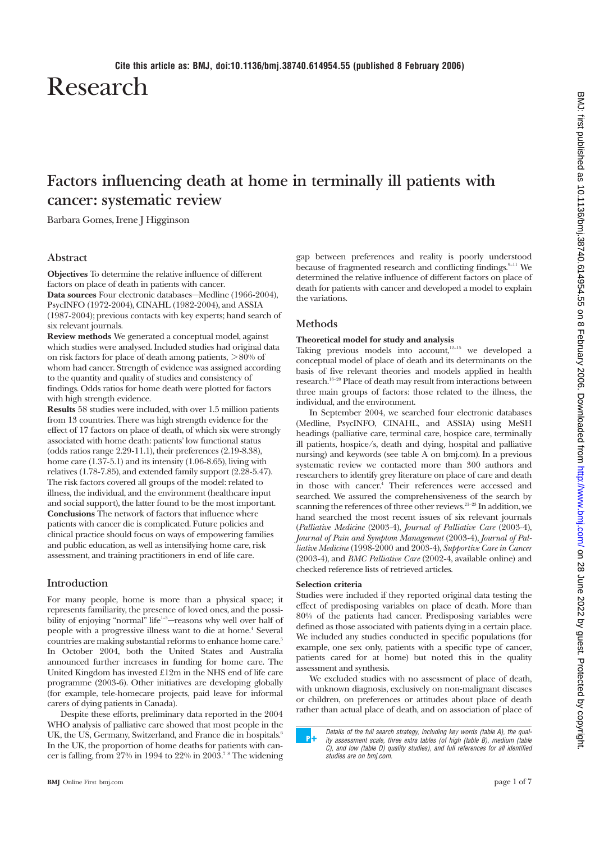Research

# **Factors influencing death at home in terminally ill patients with cancer: systematic review**

Barbara Gomes, Irene J Higginson

#### **Abstract**

**Objectives** To determine the relative influence of different factors on place of death in patients with cancer. **Data sources** Four electronic databases—Medline (1966-2004), PsycINFO (1972-2004), CINAHL (1982-2004), and ASSIA (1987-2004); previous contacts with key experts; hand search of six relevant journals.

**Review methods** We generated a conceptual model, against which studies were analysed. Included studies had original data on risk factors for place of death among patients,  $> 80\%$  of whom had cancer. Strength of evidence was assigned according to the quantity and quality of studies and consistency of findings. Odds ratios for home death were plotted for factors with high strength evidence.

**Results** 58 studies were included, with over 1.5 million patients from 13 countries. There was high strength evidence for the effect of 17 factors on place of death, of which six were strongly associated with home death: patients' low functional status (odds ratios range 2.29-11.1), their preferences (2.19-8.38), home care (1.37-5.1) and its intensity (1.06-8.65), living with relatives (1.78-7.85), and extended family support (2.28-5.47). The risk factors covered all groups of the model: related to illness, the individual, and the environment (healthcare input and social support), the latter found to be the most important. **Conclusions** The network of factors that influence where patients with cancer die is complicated. Future policies and clinical practice should focus on ways of empowering families and public education, as well as intensifying home care, risk assessment, and training practitioners in end of life care.

## **Introduction**

For many people, home is more than a physical space; it represents familiarity, the presence of loved ones, and the possibility of enjoying "normal" life<sup>1-3</sup>—reasons why well over half of people with a progressive illness want to die at home.4 Several countries are making substantial reforms to enhance home care.<sup>5</sup> In October 2004, both the United States and Australia announced further increases in funding for home care. The United Kingdom has invested £12m in the NHS end of life care programme (2003-6). Other initiatives are developing globally (for example, tele-homecare projects, paid leave for informal carers of dying patients in Canada).

Despite these efforts, preliminary data reported in the 2004 WHO analysis of palliative care showed that most people in the UK, the US, Germany, Switzerland, and France die in hospitals.<sup>6</sup> In the UK, the proportion of home deaths for patients with cancer is falling, from  $27\%$  in 1994 to  $22\%$  in  $2003.^{7\,8}$  The widening

gap between preferences and reality is poorly understood because of fragmented research and conflicting findings. $9-11$  We determined the relative influence of different factors on place of death for patients with cancer and developed a model to explain the variations.

## **Methods**

#### **Theoretical model for study and analysis**

Taking previous models into account, $12-15$  we developed a conceptual model of place of death and its determinants on the basis of five relevant theories and models applied in health research.16–20 Place of death may result from interactions between three main groups of factors: those related to the illness, the individual, and the environment.

In September 2004, we searched four electronic databases (Medline, PsycINFO, CINAHL, and ASSIA) using MeSH headings (palliative care, terminal care, hospice care, terminally ill patients, hospice/s, death and dying, hospital and palliative nursing) and keywords (see table A on bmj.com). In a previous systematic review we contacted more than 300 authors and researchers to identify grey literature on place of care and death in those with cancer.<sup>4</sup> Their references were accessed and searched. We assured the comprehensiveness of the search by scanning the references of three other reviews.<sup>21-23</sup> In addition, we hand searched the most recent issues of six relevant journals (*Palliative Medicine* (2003-4), *Journal of Palliative Care* (2003-4), *Journal of Pain and Symptom Management* (2003-4), *Journal of Palliative Medicine* (1998-2000 and 2003-4), *Supportive Care in Cancer* (2003-4), and *BMC Palliative Care* (2002-4, available online) and checked reference lists of retrieved articles.

#### **Selection criteria**

Studies were included if they reported original data testing the effect of predisposing variables on place of death. More than 80% of the patients had cancer. Predisposing variables were defined as those associated with patients dying in a certain place. We included any studies conducted in specific populations (for example, one sex only, patients with a specific type of cancer, patients cared for at home) but noted this in the quality assessment and synthesis.

We excluded studies with no assessment of place of death, with unknown diagnosis, exclusively on non-malignant diseases or children, on preferences or attitudes about place of death rather than actual place of death, and on association of place of

Details of the full search strategy, including key words (table A), the quality assessment scale, three extra tables (of high (table B), medium (table C), and low (table D) quality studies), and full references for all identified studies are on bmj.com.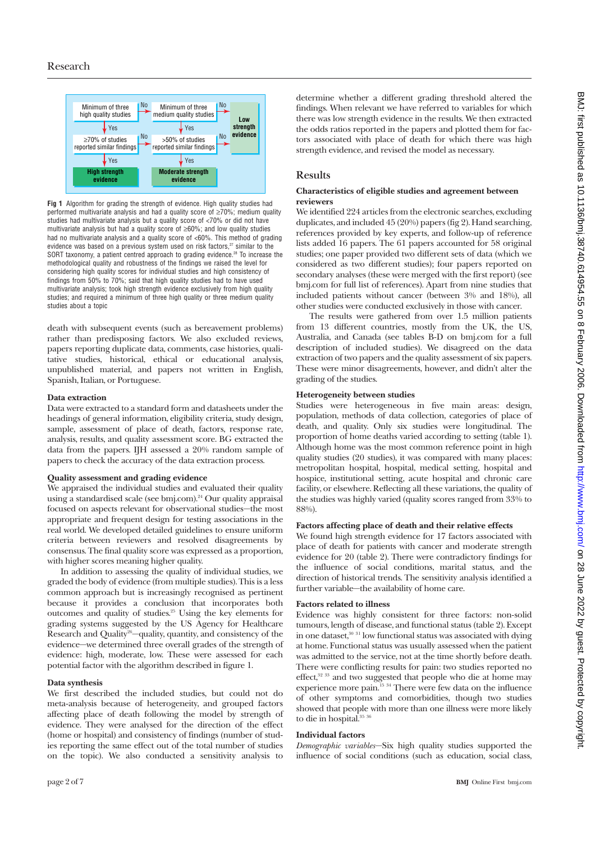

**Fig 1** Algorithm for grading the strength of evidence. High quality studies had performed multivariate analysis and had a quality score of ≥70%; medium quality studies had multivariate analysis but a quality score of <70% or did not have multivariate analysis but had a quality score of ≥60%; and low quality studies had no multivariate analysis and a quality score of <60%. This method of grading evidence was based on a previous system used on risk factors,<sup>27</sup> similar to the SORT taxonomy, a patient centred approach to grading evidence.<sup>28</sup> To increase the methodological quality and robustness of the findings we raised the level for considering high quality scores for individual studies and high consistency of findings from 50% to 70%; said that high quality studies had to have used multivariate analysis; took high strength evidence exclusively from high quality studies; and required a minimum of three high quality or three medium quality studies about a topic

death with subsequent events (such as bereavement problems) rather than predisposing factors. We also excluded reviews, papers reporting duplicate data, comments, case histories, qualitative studies, historical, ethical or educational analysis, unpublished material, and papers not written in English, Spanish, Italian, or Portuguese.

## **Data extraction**

Data were extracted to a standard form and datasheets under the headings of general information, eligibility criteria, study design, sample, assessment of place of death, factors, response rate, analysis, results, and quality assessment score. BG extracted the data from the papers. IJH assessed a 20% random sample of papers to check the accuracy of the data extraction process.

## **Quality assessment and grading evidence**

We appraised the individual studies and evaluated their quality using a standardised scale (see bmj.com).<sup>24</sup> Our quality appraisal focused on aspects relevant for observational studies—the most appropriate and frequent design for testing associations in the real world. We developed detailed guidelines to ensure uniform criteria between reviewers and resolved disagreements by consensus. The final quality score was expressed as a proportion, with higher scores meaning higher quality.

In addition to assessing the quality of individual studies, we graded the body of evidence (from multiple studies). This is a less common approach but is increasingly recognised as pertinent because it provides a conclusion that incorporates both outcomes and quality of studies.25 Using the key elements for grading systems suggested by the US Agency for Healthcare Research and Quality<sup>26</sup>-quality, quantity, and consistency of the evidence—we determined three overall grades of the strength of evidence: high, moderate, low. These were assessed for each potential factor with the algorithm described in figure 1.

## **Data synthesis**

We first described the included studies, but could not do meta-analysis because of heterogeneity, and grouped factors affecting place of death following the model by strength of evidence. They were analysed for the direction of the effect (home or hospital) and consistency of findings (number of studies reporting the same effect out of the total number of studies on the topic). We also conducted a sensitivity analysis to determine whether a different grading threshold altered the findings. When relevant we have referred to variables for which there was low strength evidence in the results. We then extracted the odds ratios reported in the papers and plotted them for factors associated with place of death for which there was high strength evidence, and revised the model as necessary.

## **Results**

## **Characteristics of eligible studies and agreement between reviewers**

We identified 224 articles from the electronic searches, excluding duplicates, and included 45 (20%) papers (fig 2). Hand searching, references provided by key experts, and follow-up of reference lists added 16 papers. The 61 papers accounted for 58 original studies; one paper provided two different sets of data (which we considered as two different studies); four papers reported on secondary analyses (these were merged with the first report) (see bmj.com for full list of references). Apart from nine studies that included patients without cancer (between 3% and 18%), all other studies were conducted exclusively in those with cancer.

The results were gathered from over 1.5 million patients from 13 different countries, mostly from the UK, the US, Australia, and Canada (see tables B-D on bmj.com for a full description of included studies). We disagreed on the data extraction of two papers and the quality assessment of six papers. These were minor disagreements, however, and didn't alter the grading of the studies.

## **Heterogeneity between studies**

Studies were heterogeneous in five main areas: design, population, methods of data collection, categories of place of death, and quality. Only six studies were longitudinal. The proportion of home deaths varied according to setting (table 1). Although home was the most common reference point in high quality studies (20 studies), it was compared with many places: metropolitan hospital, hospital, medical setting, hospital and hospice, institutional setting, acute hospital and chronic care facility, or elsewhere. Reflecting all these variations, the quality of the studies was highly varied (quality scores ranged from 33% to 88%).

## **Factors affecting place of death and their relative effects**

We found high strength evidence for 17 factors associated with place of death for patients with cancer and moderate strength evidence for 20 (table 2). There were contradictory findings for the influence of social conditions, marital status, and the direction of historical trends. The sensitivity analysis identified a further variable—the availability of home care.

## **Factors related to illness**

Evidence was highly consistent for three factors: non-solid tumours, length of disease, and functional status (table 2). Except in one dataset,<sup>30 31</sup> low functional status was associated with dying at home. Functional status was usually assessed when the patient was admitted to the service, not at the time shortly before death. There were conflicting results for pain: two studies reported no effect,<sup>32 33</sup> and two suggested that people who die at home may experience more pain.15 34 There were few data on the influence of other symptoms and comorbidities, though two studies showed that people with more than one illness were more likely to die in hospital.<sup>35</sup>

## **Individual factors**

*Demographic variables*—Six high quality studies supported the influence of social conditions (such as education, social class,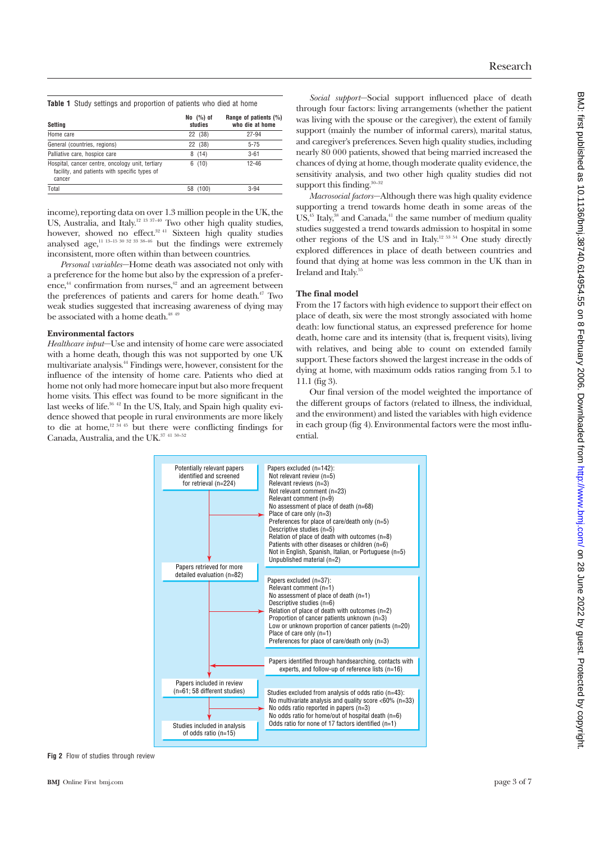|  |  | Table 1 Study settings and proportion of patients who died at home |  |  |  |
|--|--|--------------------------------------------------------------------|--|--|--|

| Setting                                                                                                     | No $(%)$ of<br>studies | Range of patients (%)<br>who die at home |
|-------------------------------------------------------------------------------------------------------------|------------------------|------------------------------------------|
| Home care                                                                                                   | 22 (38)                | 27-94                                    |
| General (countries, regions)                                                                                | 22 (38)                | $5 - 75$                                 |
| Palliative care, hospice care                                                                               | 8(14)                  | $3 - 61$                                 |
| Hospital, cancer centre, oncology unit, tertiary<br>facility, and patients with specific types of<br>cancer | 6(10)                  | $12 - 46$                                |
| Total                                                                                                       | (100)<br>58            | $3 - 94$                                 |

income), reporting data on over 1.3 million people in the UK, the US, Australia, and Italy.<sup>12 13 37-40</sup> Two other high quality studies, however, showed no effect. $32 \times 41$  Sixteen high quality studies analysed age,<sup>11 13–15 30 32 33 38–46</sup> but the findings were extremely inconsistent, more often within than between countries.

*Personal variables*—Home death was associated not only with a preference for the home but also by the expression of a preference, $44$  confirmation from nurses, $42$  and an agreement between the preferences of patients and carers for home death.<sup>47</sup> Two weak studies suggested that increasing awareness of dying may be associated with a home death.<sup>48 49</sup>

#### **Environmental factors**

*Healthcare input*—Use and intensity of home care were associated with a home death, though this was not supported by one UK multivariate analysis.44 Findings were, however, consistent for the influence of the intensity of home care. Patients who died at home not only had more homecare input but also more frequent home visits. This effect was found to be more significant in the last weeks of life.<sup>36 42</sup> In the US, Italy, and Spain high quality evidence showed that people in rural environments are more likely to die at home,<sup>12 34 45</sup> but there were conflicting findings for Canada, Australia, and the UK.37 41 50–52

*Social support*—Social support influenced place of death through four factors: living arrangements (whether the patient was living with the spouse or the caregiver), the extent of family support (mainly the number of informal carers), marital status, and caregiver's preferences. Seven high quality studies, including nearly 80 000 patients, showed that being married increased the chances of dying at home, though moderate quality evidence, the sensitivity analysis, and two other high quality studies did not support this finding. $30-32$ 

*Macrosocial factors*—Although there was high quality evidence supporting a trend towards home death in some areas of the  $US<sub>1</sub><sup>45</sup>$  Italy,<sup>38</sup> and Canada,<sup>41</sup> the same number of medium quality studies suggested a trend towards admission to hospital in some other regions of the US and in Italy.12 53 54 One study directly explored differences in place of death between countries and found that dying at home was less common in the UK than in Ireland and Italy.<sup>55</sup>

## **The final model**

From the 17 factors with high evidence to support their effect on place of death, six were the most strongly associated with home death: low functional status, an expressed preference for home death, home care and its intensity (that is, frequent visits), living with relatives, and being able to count on extended family support. These factors showed the largest increase in the odds of dying at home, with maximum odds ratios ranging from 5.1 to 11.1 (fig 3).

Our final version of the model weighted the importance of the different groups of factors (related to illness, the individual, and the environment) and listed the variables with high evidence in each group (fig 4). Environmental factors were the most influential.



**Fig 2** Flow of studies through review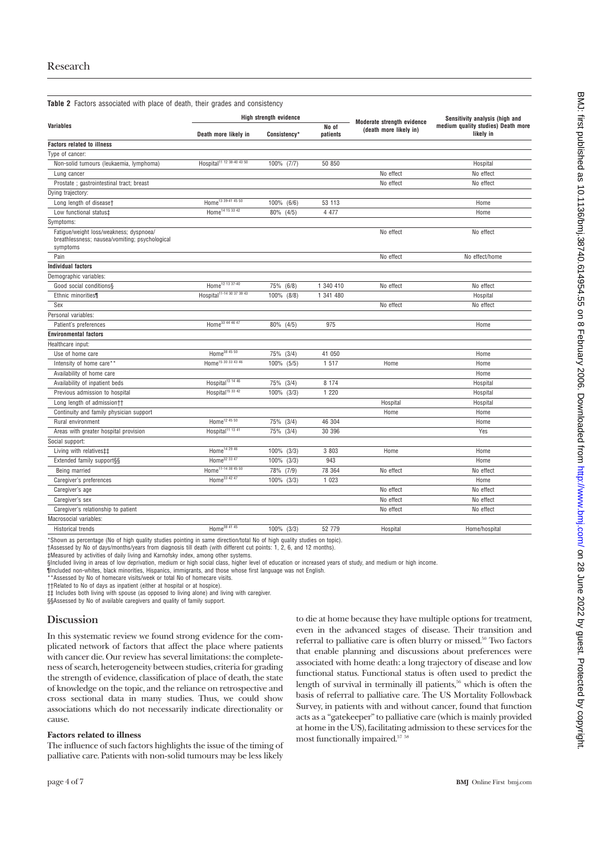### **Table 2** Factors associated with place of death, their grades and consistency

|                                                                                                       |                                                  | High strength evidence |                   | Moderate strength evidence | Sensitivity analysis (high and<br>medium quality studies) Death more<br>likely in |  |
|-------------------------------------------------------------------------------------------------------|--------------------------------------------------|------------------------|-------------------|----------------------------|-----------------------------------------------------------------------------------|--|
| Variables                                                                                             | Death more likely in                             | Consistency*           | No of<br>patients | (death more likely in)     |                                                                                   |  |
| <b>Factors related to illness</b>                                                                     |                                                  |                        |                   |                            |                                                                                   |  |
| Type of cancer:                                                                                       |                                                  |                        |                   |                            |                                                                                   |  |
| Non-solid tumours (leukaemia, lymphoma)                                                               | Hospital <sup>11</sup> <sup>12</sup> 38-40 43 50 | 100% (7/7)             | 50 850            |                            | Hospital                                                                          |  |
| Lung cancer                                                                                           |                                                  |                        |                   | No effect                  | No effect                                                                         |  |
| Prostate; gastrointestinal tract; breast                                                              |                                                  |                        |                   | No effect                  | No effect                                                                         |  |
| Dying trajectory:                                                                                     |                                                  |                        |                   |                            |                                                                                   |  |
| Long length of disease†                                                                               | Home <sup>13</sup> 39-41 45 50                   | 100%<br>(6/6)          | 53 113            |                            | Home                                                                              |  |
| Low functional status‡                                                                                | Home <sup>14</sup> 15 33 42                      | 80% (4/5)              | 4 4 7 7           |                            | Home                                                                              |  |
| Symptoms:                                                                                             |                                                  |                        |                   |                            |                                                                                   |  |
| Fatique/weight loss/weakness; dyspnoea/<br>breathlessness; nausea/vomiting; psychological<br>symptoms |                                                  |                        |                   | No effect                  | No effect                                                                         |  |
| Pain                                                                                                  |                                                  |                        |                   | No effect                  | No effect/home                                                                    |  |
| Individual factors                                                                                    |                                                  |                        |                   |                            |                                                                                   |  |
| Demographic variables:                                                                                |                                                  |                        |                   |                            |                                                                                   |  |
| Good social conditions§                                                                               | Home <sup>12</sup> <sup>13</sup> 37-40           | 75% (6/8)              | 1 340 410         | No effect                  | No effect                                                                         |  |
| Ethnic minorities¶                                                                                    | Hospital <sup>11-14</sup> 30 37 39 43            | 100% (8/8)             | 1 341 480         |                            | Hospital                                                                          |  |
| Sex                                                                                                   |                                                  |                        |                   | No effect                  | No effect                                                                         |  |
| Personal variables:                                                                                   |                                                  |                        |                   |                            |                                                                                   |  |
| Patient's preferences                                                                                 | Home <sup>33</sup> 44 46 47                      | 80% (4/5)              | 975               |                            | Home                                                                              |  |
| <b>Environmental factors</b>                                                                          |                                                  |                        |                   |                            |                                                                                   |  |
| Healthcare input:                                                                                     |                                                  |                        |                   |                            |                                                                                   |  |
| Use of home care                                                                                      | Home <sup>38 45</sup> 50                         | 75%<br>(3/4)           | 41 050            |                            | Home                                                                              |  |
| Intensity of home care**                                                                              | Home <sup>15</sup> 30 33 43 46                   | 100% (5/5)             | 1 5 1 7           | Home                       | Home                                                                              |  |
| Availability of home care                                                                             |                                                  |                        |                   |                            | Home                                                                              |  |
| Availability of inpatient beds                                                                        | Hospital <sup>13</sup> <sup>14</sup> 46          | 75% (3/4)              | 8 174             |                            | Hospital                                                                          |  |
| Previous admission to hospital                                                                        | Hospital <sup>15 33 42</sup>                     | 100% (3/3)             | 1 2 2 0           |                            | Hospital                                                                          |  |
| Long length of admission††                                                                            |                                                  |                        |                   | Hospital                   | Hospital                                                                          |  |
| Continuity and family physician support                                                               |                                                  |                        |                   | Home                       | Home                                                                              |  |
| Rural environment                                                                                     | Home <sup>12 45</sup> 50                         | (3/4)<br>75%           | 46 304            |                            | Home                                                                              |  |
| Areas with greater hospital provision                                                                 | Hospital <sup>11 13</sup> 41                     | 75% (3/4)              | 30 396            |                            | Yes                                                                               |  |
| Social support:                                                                                       |                                                  |                        |                   |                            |                                                                                   |  |
| Living with relatives#                                                                                | Home <sup>14 29 46</sup>                         | 100% (3/3)             | 3 803             | Home                       | Home                                                                              |  |
| Extended family support§§                                                                             | Home <sup>32 33 47</sup>                         | 100%<br>(3/3)          | 943               |                            | Home                                                                              |  |
| Being married                                                                                         | Home <sup>11-14</sup> 38 45 50                   | 78% (7/9)              | 78 364            | No effect                  | No effect                                                                         |  |
| Caregiver's preferences                                                                               | Home <sup>33</sup> 42 47                         | 100% (3/3)             | 1 0 2 3           |                            | Home                                                                              |  |
| Caregiver's age                                                                                       |                                                  |                        |                   | No effect                  | No effect                                                                         |  |
| Caregiver's sex                                                                                       |                                                  |                        |                   | No effect                  | No effect                                                                         |  |
| Caregiver's relationship to patient                                                                   |                                                  |                        |                   | No effect                  | No effect                                                                         |  |
| Macrosocial variables:                                                                                |                                                  |                        |                   |                            |                                                                                   |  |
| <b>Historical trends</b>                                                                              | Home <sup>38 41 45</sup>                         | 100% (3/3)             | 52 779            | Hospital                   | Home/hospital                                                                     |  |
|                                                                                                       |                                                  |                        |                   |                            |                                                                                   |  |

\*Shown as percentage (No of high quality studies pointing in same direction/total No of high quality studies on topic).

†Assessed by No of days/months/years from diagnosis till death (with different cut points: 1, 2, 6, and 12 months).

‡Measured by activities of daily living and Karnofsky index, among other systems.

§Included living in areas of low deprivation, medium or high social class, higher level of education or increased years of study, and medium or high income.

¶Included non-whites, black minorities, Hispanics, immigrants, and those whose first language was not English.

\*\*Assessed by No of homecare visits/week or total No of homecare visits.

††Related to No of days as inpatient (either at hospital or at hospice).

‡‡ Includes both living with spouse (as opposed to living alone) and living with caregiver.

§§Assessed by No of available caregivers and quality of family support.

## **Discussion**

In this systematic review we found strong evidence for the complicated network of factors that affect the place where patients with cancer die. Our review has several limitations: the completeness of search, heterogeneity between studies, criteria for grading the strength of evidence, classification of place of death, the state of knowledge on the topic, and the reliance on retrospective and cross sectional data in many studies. Thus, we could show associations which do not necessarily indicate directionality or cause.

#### **Factors related to illness**

The influence of such factors highlights the issue of the timing of palliative care. Patients with non-solid tumours may be less likely to die at home because they have multiple options for treatment, even in the advanced stages of disease. Their transition and referral to palliative care is often blurry or missed.<sup>50</sup> Two factors that enable planning and discussions about preferences were associated with home death: a long trajectory of disease and low functional status. Functional status is often used to predict the length of survival in terminally ill patients,<sup>56</sup> which is often the basis of referral to palliative care. The US Mortality Followback Survey, in patients with and without cancer, found that function acts as a "gatekeeper" to palliative care (which is mainly provided at home in the US), facilitating admission to these services for the most functionally impaired. $57$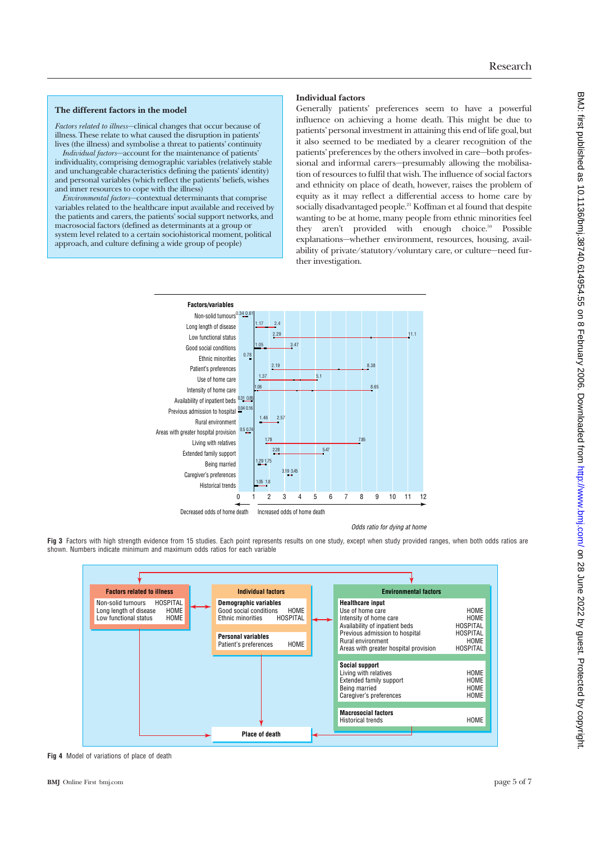#### **The different factors in the model**

*Factors related to illness*—clinical changes that occur because of illness. These relate to what caused the disruption in patients' lives (the illness) and symbolise a threat to patients' continuity

*Individual factors*—account for the maintenance of patients' individuality, comprising demographic variables (relatively stable and unchangeable characteristics defining the patients' identity) and personal variables (which reflect the patients' beliefs, wishes and inner resources to cope with the illness)

*Environmental factors*—contextual determinants that comprise variables related to the healthcare input available and received by the patients and carers, the patients' social support networks, and macrosocial factors (defined as determinants at a group or system level related to a certain sociohistorical moment, political approach, and culture defining a wide group of people)

#### **Individual factors**

Generally patients' preferences seem to have a powerful influence on achieving a home death. This might be due to patients' personal investment in attaining this end of life goal, but it also seemed to be mediated by a clearer recognition of the patients' preferences by the others involved in care—both professional and informal carers—presumably allowing the mobilisation of resources to fulfil that wish. The influence of social factors and ethnicity on place of death, however, raises the problem of equity as it may reflect a differential access to home care by socially disadvantaged people.<sup>21</sup> Koffman et al found that despite wanting to be at home, many people from ethnic minorities feel they aren't provided with enough choice.<sup>59</sup> Possible explanations—whether environment, resources, housing, availability of private/statutory/voluntary care, or culture—need further investigation.



#### Odds ratio for dying at home

**Fig 3** Factors with high strength evidence from 15 studies. Each point represents results on one study, except when study provided ranges, when both odds ratios are shown. Numbers indicate minimum and maximum odds ratios for each variable



**Fig 4** Model of variations of place of death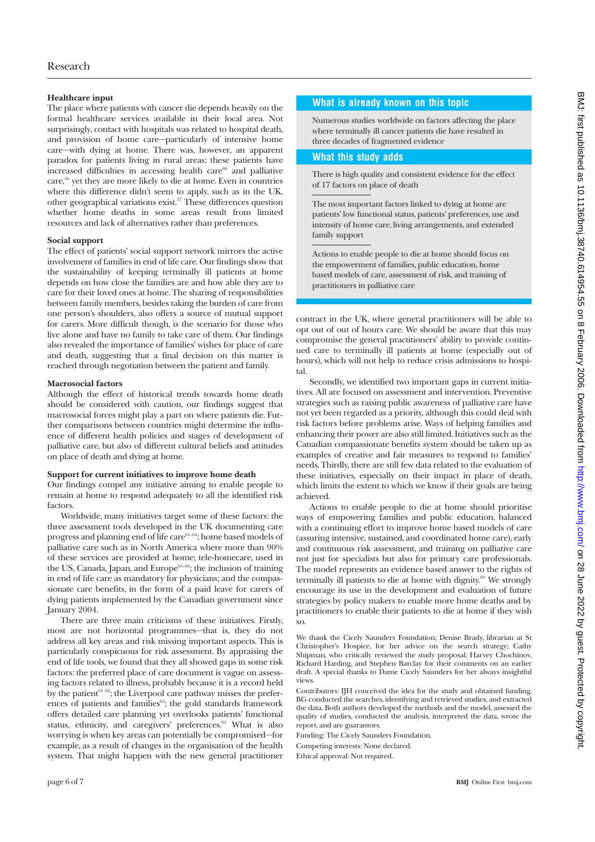#### **Healthcare input**

The place where patients with cancer die depends heavily on the formal healthcare services available in their local area. Not surprisingly, contact with hospitals was related to hospital death, and provision of home care—particularly of intensive home care—with dying at home. There was, however, an apparent paradox for patients living in rural areas: these patients have increased difficulties in accessing health care $60$  and palliative care,50 yet they are more likely to die at home. Even in countries where this difference didn't seem to apply, such as in the UK, other geographical variations exist.37 These differences question whether home deaths in some areas result from limited resources and lack of alternatives rather than preferences.

#### **Social support**

The effect of patients' social support network mirrors the active involvement of families in end of life care. Our findings show that the sustainability of keeping terminally ill patients at home depends on how close the families are and how able they are to care for their loved ones at home. The sharing of responsibilities between family members, besides taking the burden of care from one person's shoulders, also offers a source of mutual support for carers. More difficult though, is the scenario for those who live alone and have no family to take care of them. Our findings also revealed the importance of families' wishes for place of care and death, suggesting that a final decision on this matter is reached through negotiation between the patient and family.

#### **Macrosocial factors**

Although the effect of historical trends towards home death should be considered with caution, our findings suggest that macrosocial forces might play a part on where patients die. Further comparisons between countries might determine the influence of different health policies and stages of development of palliative care, but also of different cultural beliefs and attitudes on place of death and dying at home.

#### **Support for current initiatives to improve home death**

Our findings compel any initiative aiming to enable people to remain at home to respond adequately to all the identified risk factors.

Worldwide, many initiatives target some of these factors: the three assessment tools developed in the UK documenting care progress and planning end of life care<sup>61-64</sup>; home based models of palliative care such as in North America where more than 90% of these services are provided at home; tele-homecare, used in the US, Canada, Japan, and Europe<sup>65-68</sup>; the inclusion of training in end of life care as mandatory for physicians; and the compassionate care benefits, in the form of a paid leave for carers of dying patients implemented by the Canadian government since January 2004.

There are three main criticisms of these initiatives. Firstly, most are not horizontal programmes—that is, they do not address all key areas and risk missing important aspects. This is particularly conspicuous for risk assessment. By appraising the end of life tools, we found that they all showed gaps in some risk factors: the preferred place of care document is vague on assessing factors related to illness, probably because it is a record held by the patient<sup>61 62</sup>; the Liverpool care pathway misses the preferences of patients and families<sup>63</sup>; the gold standards framework offers detailed care planning yet overlooks patients' functional status, ethnicity, and caregivers' preferences.<sup>64</sup> What is also worrying is when key areas can potentially be compromised—for example, as a result of changes in the organisation of the health system. That might happen with the new general practitioner

## **What is already known on this topic**

Numerous studies worldwide on factors affecting the place where terminally ill cancer patients die have resulted in three decades of fragmented evidence

#### **What this study adds**

There is high quality and consistent evidence for the effect of 17 factors on place of death

The most important factors linked to dying at home are patients' low functional status, patients' preferences, use and intensity of home care, living arrangements, and extended family support

Actions to enable people to die at home should focus on the empowerment of families, public education, home based models of care, assessment of risk, and training of practitioners in palliative care

contract in the UK, where general practitioners will be able to opt out of out of hours care. We should be aware that this may compromise the general practitioners' ability to provide continued care to terminally ill patients at home (especially out of hours), which will not help to reduce crisis admissions to hospital.

Secondly, we identified two important gaps in current initiatives. All are focused on assessment and intervention. Preventive strategies such as raising public awareness of palliative care have not yet been regarded as a priority, although this could deal with risk factors before problems arise. Ways of helping families and enhancing their power are also still limited. Initiatives such as the Canadian compassionate benefits system should be taken up as examples of creative and fair measures to respond to families' needs. Thirdly, there are still few data related to the evaluation of these initiatives, especially on their impact in place of death, which limits the extent to which we know if their goals are being achieved.

Actions to enable people to die at home should prioritise ways of empowering families and public education, balanced with a continuing effort to improve home based models of care (assuring intensive, sustained, and coordinated home care), early and continuous risk assessment, and training on palliative care not just for specialists but also for primary care professionals. The model represents an evidence based answer to the rights of terminally ill patients to die at home with dignity.<sup>69</sup> We strongly encourage its use in the development and evaluation of future strategies by policy makers to enable more home deaths and by practitioners to enable their patients to die at home if they wish so.

We thank the Cicely Saunders Foundation; Denise Brady, librarian at St Christopher's Hospice, for her advice on the search strategy; Cathy Shipman, who critically reviewed the study proposal; Harvey Chochinov, Richard Harding, and Stephen Barclay for their comments on an earlier draft. A special thanks to Dame Cicely Saunders for her always insightful views.

Contributors: IJH conceived the idea for the study and obtained funding. BG conducted the searches, identifying and retrieved studies, and extracted the data. Both authors developed the methods and the model, assessed the quality of studies, conducted the analysis, interpreted the data, wrote the report, and are guarantors.

Funding: The Cicely Saunders Foundation.

Competing interests: None declared.

Ethical approval: Not required.